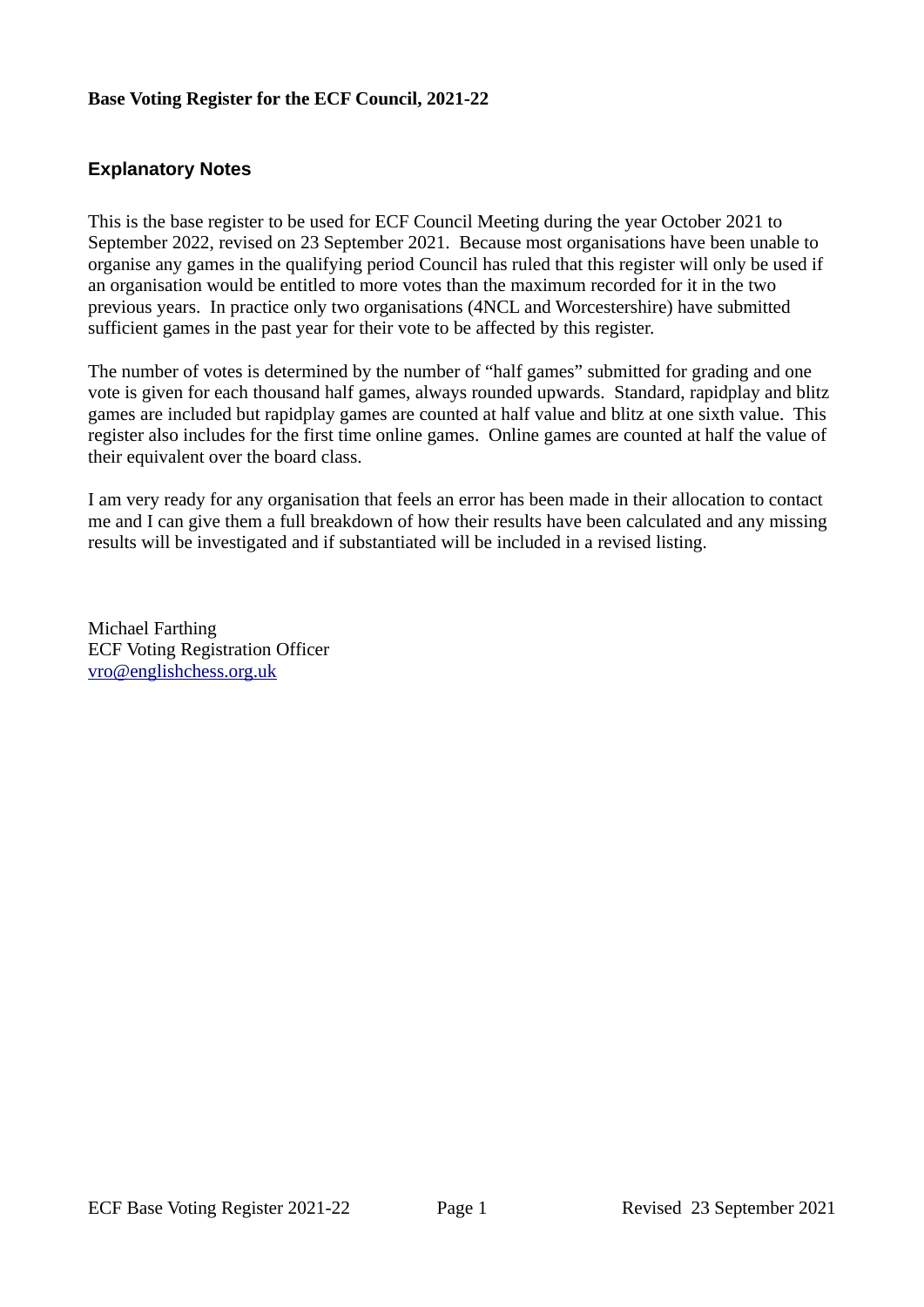#### **Base Voting Register for the ECF Council, 2021-22**

#### **Explanatory Notes**

This is the base register to be used for ECF Council Meeting during the year October 2021 to September 2022, revised on 23 September 2021. Because most organisations have been unable to organise any games in the qualifying period Council has ruled that this register will only be used if an organisation would be entitled to more votes than the maximum recorded for it in the two previous years. In practice only two organisations (4NCL and Worcestershire) have submitted sufficient games in the past year for their vote to be affected by this register.

The number of votes is determined by the number of "half games" submitted for grading and one vote is given for each thousand half games, always rounded upwards. Standard, rapidplay and blitz games are included but rapidplay games are counted at half value and blitz at one sixth value. This register also includes for the first time online games. Online games are counted at half the value of their equivalent over the board class.

I am very ready for any organisation that feels an error has been made in their allocation to contact me and I can give them a full breakdown of how their results have been calculated and any missing results will be investigated and if substantiated will be included in a revised listing.

Michael Farthing ECF Voting Registration Officer [vro@englishchess.org.uk](mailto:vro@englishchess.org.uk)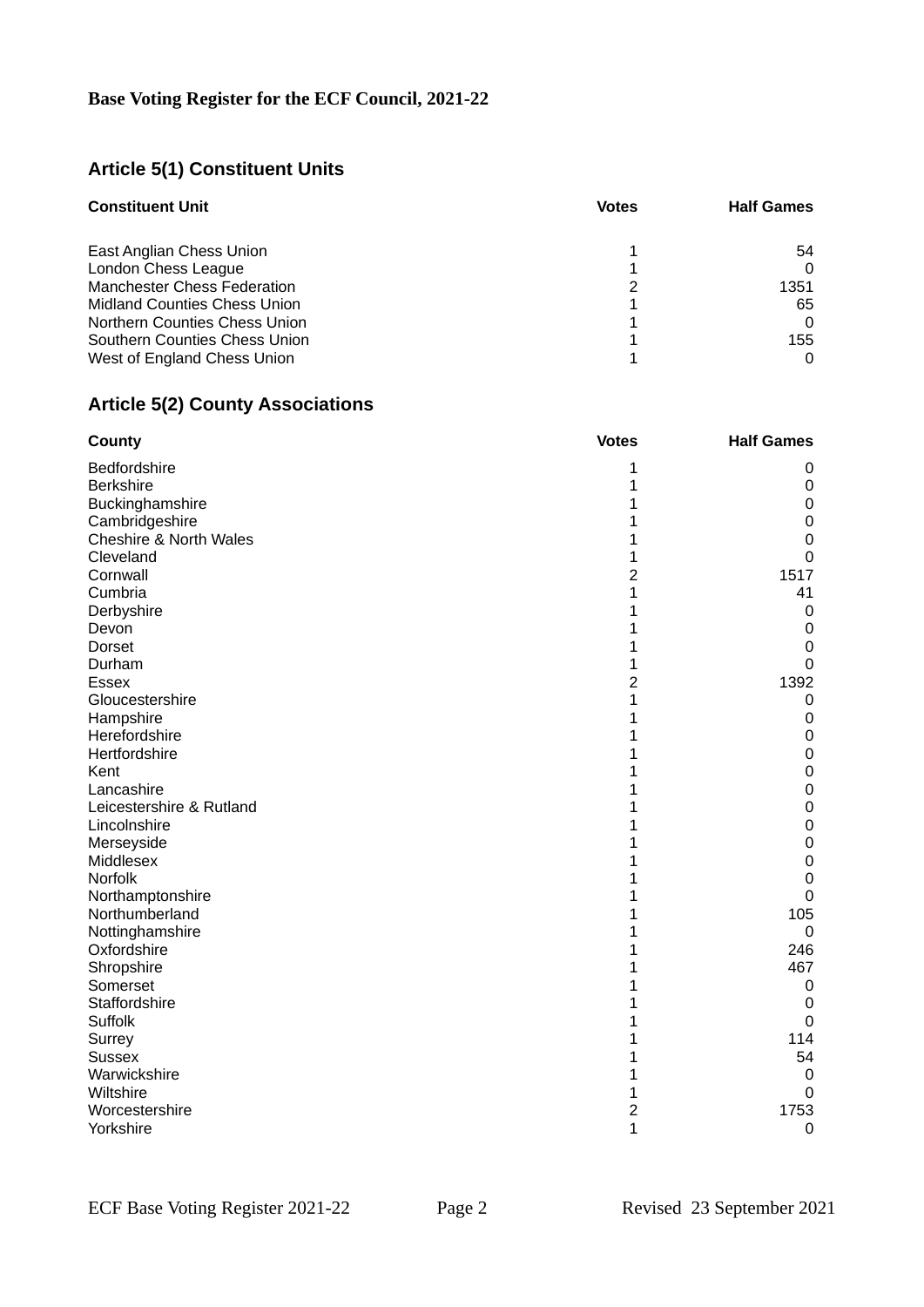# **Article 5(1) Constituent Units**

| <b>Constituent Unit</b>             | <b>Votes</b> | <b>Half Games</b> |
|-------------------------------------|--------------|-------------------|
|                                     |              |                   |
| East Anglian Chess Union            |              | 54                |
| London Chess League                 |              |                   |
| <b>Manchester Chess Federation</b>  |              | 1351              |
| <b>Midland Counties Chess Union</b> |              | 65                |
| Northern Counties Chess Union       |              | 0                 |
| Southern Counties Chess Union       |              | 155               |
| West of England Chess Union         |              |                   |

# **Article 5(2) County Associations**

| <b>County</b>            | <b>Votes</b>            | <b>Half Games</b> |
|--------------------------|-------------------------|-------------------|
| Bedfordshire             | 1                       | 0                 |
| <b>Berkshire</b>         | $\mathbf 1$             | 0                 |
| Buckinghamshire          | $\overline{1}$          | $\mathsf 0$       |
| Cambridgeshire           | $\mathbf 1$             | $\pmb{0}$         |
| Cheshire & North Wales   | 1                       | $\mathbf 0$       |
| Cleveland                | $\overline{1}$          | $\mathbf 0$       |
| Cornwall                 | $\overline{c}$          | 1517              |
| Cumbria                  | $\mathbf 1$             | 41                |
| Derbyshire               | 1                       | $\mathbf 0$       |
| Devon                    | $\overline{1}$          | $\pmb{0}$         |
| Dorset                   | 1                       | 0                 |
| Durham                   | $\overline{1}$          | $\mathbf 0$       |
| <b>Essex</b>             | $\overline{c}$          | 1392              |
| Gloucestershire          | $\overline{1}$          | 0                 |
| Hampshire                | $\overline{1}$          | $\pmb{0}$         |
| Herefordshire            | $\overline{1}$          | $\mathbf 0$       |
| Hertfordshire            | 1                       | $\mathsf 0$       |
| Kent                     | $\mathbf 1$             | $\mathbf 0$       |
| Lancashire               | $\overline{1}$          | $\mathbf 0$       |
| Leicestershire & Rutland | $\mathbf 1$             | $\mathsf 0$       |
| Lincolnshire             | $\overline{1}$          | $\mathsf 0$       |
| Merseyside               | $\overline{1}$          | $\mathbf 0$       |
| Middlesex                | 1                       | $\mathbf 0$       |
| Norfolk                  | 1                       | $\mathbf 0$       |
| Northamptonshire         | $\overline{1}$          | $\mathbf 0$       |
| Northumberland           | $\overline{1}$          | 105               |
| Nottinghamshire          | $\overline{1}$          | $\mathbf 0$       |
| Oxfordshire              | $\mathbf 1$             | 246               |
| Shropshire               | $\mathbf{1}$            | 467               |
| Somerset                 | $\overline{1}$          | 0                 |
| Staffordshire            | $\overline{1}$          | 0                 |
| Suffolk                  | $\mathbf 1$             | $\mathbf 0$       |
| Surrey                   | 1                       | 114               |
| <b>Sussex</b>            | $\overline{1}$          | 54                |
| Warwickshire             | $\overline{1}$          | $\pmb{0}$         |
| Wiltshire                | $\mathbf 1$             | $\mathbf 0$       |
| Worcestershire           | $\overline{\mathbf{c}}$ | 1753              |
| Yorkshire                | $\overline{1}$          | $\mathbf 0$       |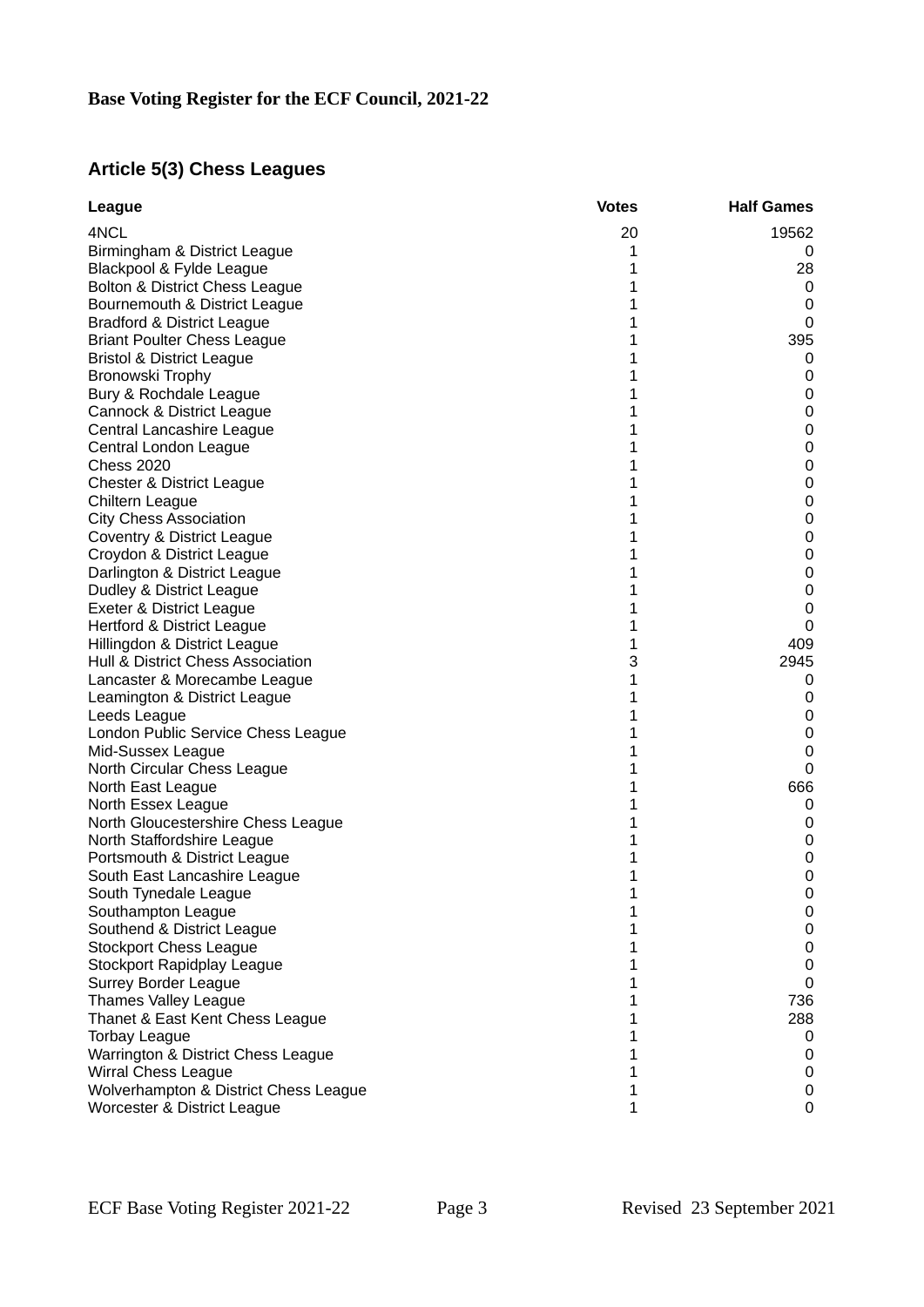### **Article 5(3) Chess Leagues**

| League                                | <b>Votes</b> | <b>Half Games</b>   |
|---------------------------------------|--------------|---------------------|
| 4NCL                                  | 20           | 19562               |
| Birmingham & District League          | 1            | 0                   |
| Blackpool & Fylde League              | $\mathbf{1}$ | 28                  |
| Bolton & District Chess League        | 1            | 0                   |
| Bournemouth & District League         | $\mathbf{1}$ | 0                   |
| <b>Bradford &amp; District League</b> | 1            | 0                   |
| <b>Briant Poulter Chess League</b>    | 1            | 395                 |
| <b>Bristol &amp; District League</b>  | $\mathbf{1}$ | 0                   |
| Bronowski Trophy                      | 1            | 0                   |
| Bury & Rochdale League                | $\mathbf{1}$ | 0                   |
| Cannock & District League             | $\mathbf{1}$ | $\pmb{0}$           |
| Central Lancashire League             | $\mathbf{1}$ | $\pmb{0}$           |
| Central London League                 | 1            | $\pmb{0}$           |
| <b>Chess 2020</b>                     | 1            | $\pmb{0}$           |
| <b>Chester &amp; District League</b>  | $\mathbf{1}$ | $\pmb{0}$           |
| Chiltern League                       | $\mathbf{1}$ | $\pmb{0}$           |
| <b>City Chess Association</b>         | $\mathbf{1}$ | $\mathsf{O}\xspace$ |
| Coventry & District League            | 1            | $\mathsf{O}\xspace$ |
| Croydon & District League             | 1            | 0                   |
| Darlington & District League          | $\mathbf{1}$ | $\pmb{0}$           |
| Dudley & District League              | $\mathbf{1}$ | 0                   |
| Exeter & District League              | 1            | 0                   |
| Hertford & District League            | $\mathbf{1}$ | $\mathbf 0$         |
| Hillingdon & District League          | 1            | 409                 |
| Hull & District Chess Association     | 3            | 2945                |
| Lancaster & Morecambe League          | $\mathbf{1}$ | 0                   |
| Leamington & District League          | $\mathbf{1}$ | 0                   |
| Leeds League                          | 1            | 0                   |
| London Public Service Chess League    | $\mathbf{1}$ | $\pmb{0}$           |
| Mid-Sussex League                     | $\mathbf{1}$ | $\pmb{0}$           |
| North Circular Chess League           | 1            | 0                   |
| North East League                     | 1            | 666                 |
| North Essex League                    | $\mathbf{1}$ | 0                   |
| North Gloucestershire Chess League    | 1            | 0                   |
| North Staffordshire League            | 1            | 0                   |
| Portsmouth & District League          | 1            | 0                   |
| South East Lancashire League          | 1            | 0                   |
| South Tynedale League                 | 1            | 0                   |
| Southampton League                    | 1            | 0                   |
| Southend & District League            | 1            | 0                   |
| <b>Stockport Chess League</b>         | 1            | 0                   |
| <b>Stockport Rapidplay League</b>     | 1            | 0                   |
| <b>Surrey Border League</b>           | 1            | 0                   |
| Thames Valley League                  | 1            | 736                 |
| Thanet & East Kent Chess League       | 1            | 288                 |
| <b>Torbay League</b>                  | 1            | 0                   |
| Warrington & District Chess League    | 1            | 0                   |
| <b>Wirral Chess League</b>            | 1            | 0                   |
| Wolverhampton & District Chess League | 1            | 0                   |
| Worcester & District League           | 1            | 0                   |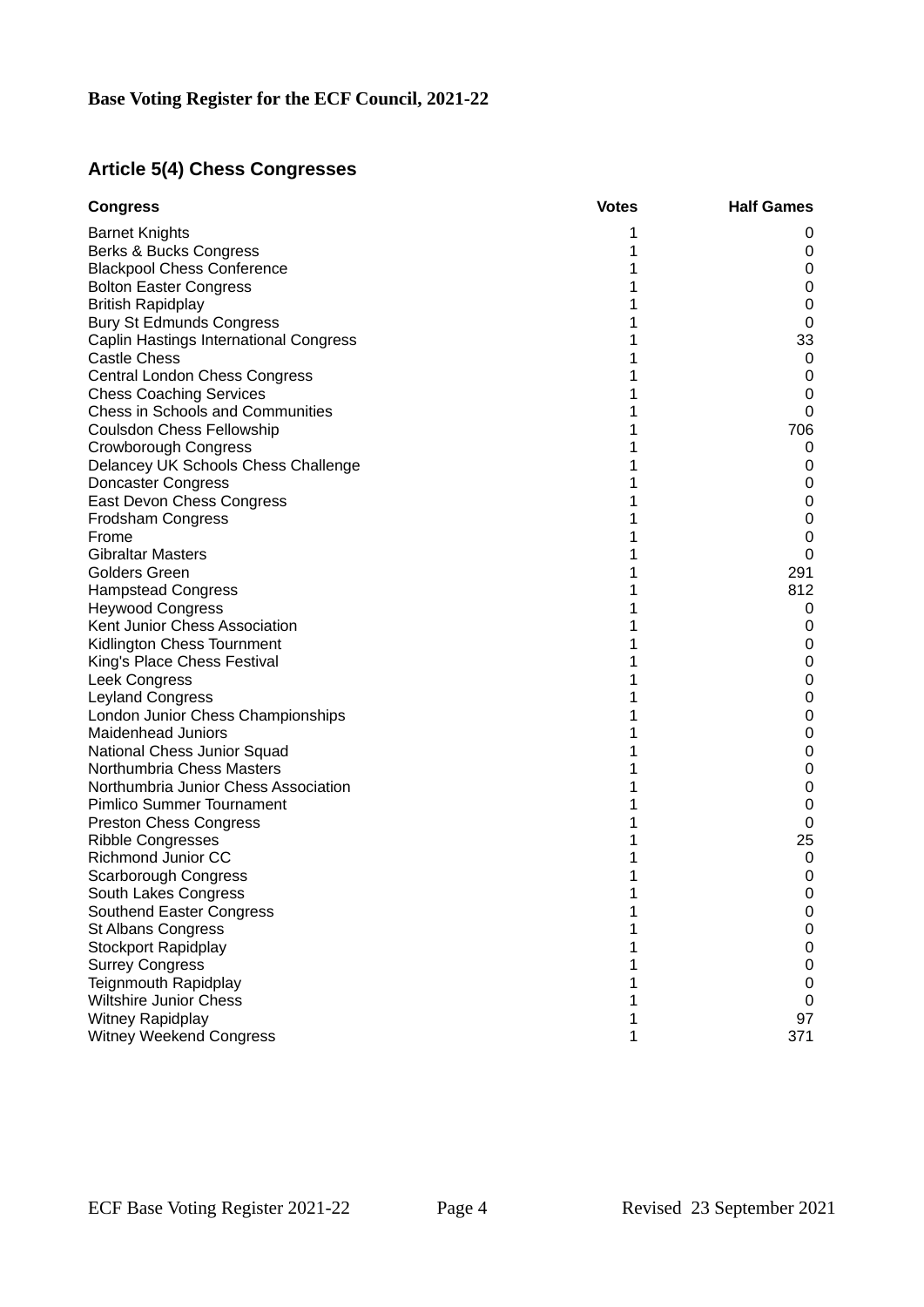# **Article 5(4) Chess Congresses**

| <b>Congress</b>                         | <b>Votes</b> | <b>Half Games</b>   |
|-----------------------------------------|--------------|---------------------|
| <b>Barnet Knights</b>                   | 1            | 0                   |
| Berks & Bucks Congress                  | 1            | 0                   |
| <b>Blackpool Chess Conference</b>       | 1            | $\mathsf 0$         |
| <b>Bolton Easter Congress</b>           | 1            | $\mathsf 0$         |
| <b>British Rapidplay</b>                | 1            | $\pmb{0}$           |
| <b>Bury St Edmunds Congress</b>         | 1            | $\pmb{0}$           |
| Caplin Hastings International Congress  | 1            | 33                  |
| <b>Castle Chess</b>                     | 1            | 0                   |
| Central London Chess Congress           | $\mathbf{1}$ | 0                   |
| <b>Chess Coaching Services</b>          | $\mathbf{1}$ | 0                   |
| <b>Chess in Schools and Communities</b> | 1            | 0                   |
| Coulsdon Chess Fellowship               | $\mathbf{1}$ | 706                 |
| Crowborough Congress                    | 1            | 0                   |
| Delancey UK Schools Chess Challenge     | 1            | 0                   |
| <b>Doncaster Congress</b>               | 1            | 0                   |
| East Devon Chess Congress               | 1            | $\mathsf 0$         |
| Frodsham Congress                       | 1            | $\pmb{0}$           |
| Frome                                   | 1            | $\pmb{0}$           |
| <b>Gibraltar Masters</b>                | $\mathbf{1}$ | $\mathbf 0$         |
| <b>Golders Green</b>                    | 1            | 291                 |
| <b>Hampstead Congress</b>               | 1            | 812                 |
| <b>Heywood Congress</b>                 | 1            | 0                   |
| Kent Junior Chess Association           | 1            | 0                   |
| Kidlington Chess Tournment              | 1            | 0                   |
| King's Place Chess Festival             | 1            | $\pmb{0}$           |
| Leek Congress                           | 1            | 0                   |
| Leyland Congress                        | 1            | $\mathsf{O}\xspace$ |
| London Junior Chess Championships       | $\mathbf{1}$ | 0                   |
| Maidenhead Juniors                      | 1            | $\pmb{0}$           |
| National Chess Junior Squad             | $\mathbf{1}$ | $\mathbf 0$         |
| Northumbria Chess Masters               | $\mathbf{1}$ | 0                   |
| Northumbria Junior Chess Association    | 1            | 0                   |
| Pimlico Summer Tournament               | 1            | 0                   |
| <b>Preston Chess Congress</b>           | 1            | 0                   |
| <b>Ribble Congresses</b>                | 1            | 25                  |
| Richmond Junior CC                      | 1            | 0                   |
| Scarborough Congress                    | 1            | 0                   |
| South Lakes Congress                    | 1            | 0                   |
| Southend Easter Congress                | 1            | 0                   |
| <b>St Albans Congress</b>               | 1            | 0                   |
| Stockport Rapidplay                     | 1            | 0                   |
| <b>Surrey Congress</b>                  | 1            | $\mathsf{O}\xspace$ |
| <b>Teignmouth Rapidplay</b>             | 1            | 0                   |
| <b>Wiltshire Junior Chess</b>           | 1            | 0                   |
| Witney Rapidplay                        | 1            | 97                  |
| Witney Weekend Congress                 | 1            | 371                 |